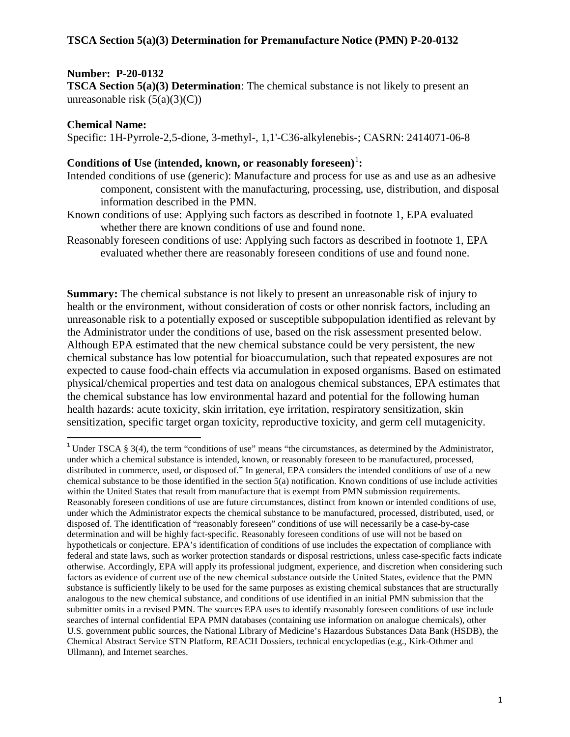### **Number: P-20-0132**

**TSCA Section 5(a)(3) Determination**: The chemical substance is not likely to present an unreasonable risk  $(5(a)(3)(C))$ 

#### **Chemical Name:**

Specific: 1H-Pyrrole-2,5-dione, 3-methyl-, 1,1'-C36-alkylenebis-; CASRN: 2414071-06-8

# Conditions of Use (intended, known, or reasonably foreseen)<sup>[1](#page-0-0)</sup>:

- Intended conditions of use (generic): Manufacture and process for use as and use as an adhesive component, consistent with the manufacturing, processing, use, distribution, and disposal information described in the PMN.
- Known conditions of use: Applying such factors as described in footnote 1, EPA evaluated whether there are known conditions of use and found none.
- Reasonably foreseen conditions of use: Applying such factors as described in footnote 1, EPA evaluated whether there are reasonably foreseen conditions of use and found none.

**Summary:** The chemical substance is not likely to present an unreasonable risk of injury to health or the environment, without consideration of costs or other nonrisk factors, including an unreasonable risk to a potentially exposed or susceptible subpopulation identified as relevant by the Administrator under the conditions of use, based on the risk assessment presented below. Although EPA estimated that the new chemical substance could be very persistent, the new chemical substance has low potential for bioaccumulation, such that repeated exposures are not expected to cause food-chain effects via accumulation in exposed organisms. Based on estimated physical/chemical properties and test data on analogous chemical substances, EPA estimates that the chemical substance has low environmental hazard and potential for the following human health hazards: acute toxicity, skin irritation, eye irritation, respiratory sensitization, skin sensitization, specific target organ toxicity, reproductive toxicity, and germ cell mutagenicity.

<span id="page-0-1"></span><span id="page-0-0"></span><sup>&</sup>lt;sup>1</sup> Under TSCA § 3(4), the term "conditions of use" means "the circumstances, as determined by the Administrator, under which a chemical substance is intended, known, or reasonably foreseen to be manufactured, processed, distributed in commerce, used, or disposed of." In general, EPA considers the intended conditions of use of a new chemical substance to be those identified in the section 5(a) notification. Known conditions of use include activities within the United States that result from manufacture that is exempt from PMN submission requirements. Reasonably foreseen conditions of use are future circumstances, distinct from known or intended conditions of use, under which the Administrator expects the chemical substance to be manufactured, processed, distributed, used, or disposed of. The identification of "reasonably foreseen" conditions of use will necessarily be a case-by-case determination and will be highly fact-specific. Reasonably foreseen conditions of use will not be based on hypotheticals or conjecture. EPA's identification of conditions of use includes the expectation of compliance with federal and state laws, such as worker protection standards or disposal restrictions, unless case-specific facts indicate otherwise. Accordingly, EPA will apply its professional judgment, experience, and discretion when considering such factors as evidence of current use of the new chemical substance outside the United States, evidence that the PMN substance is sufficiently likely to be used for the same purposes as existing chemical substances that are structurally analogous to the new chemical substance, and conditions of use identified in an initial PMN submission that the submitter omits in a revised PMN. The sources EPA uses to identify reasonably foreseen conditions of use include searches of internal confidential EPA PMN databases (containing use information on analogue chemicals), other U.S. government public sources, the National Library of Medicine's Hazardous Substances Data Bank (HSDB), the Chemical Abstract Service STN Platform, REACH Dossiers, technical encyclopedias (e.g., Kirk-Othmer and Ullmann), and Internet searches.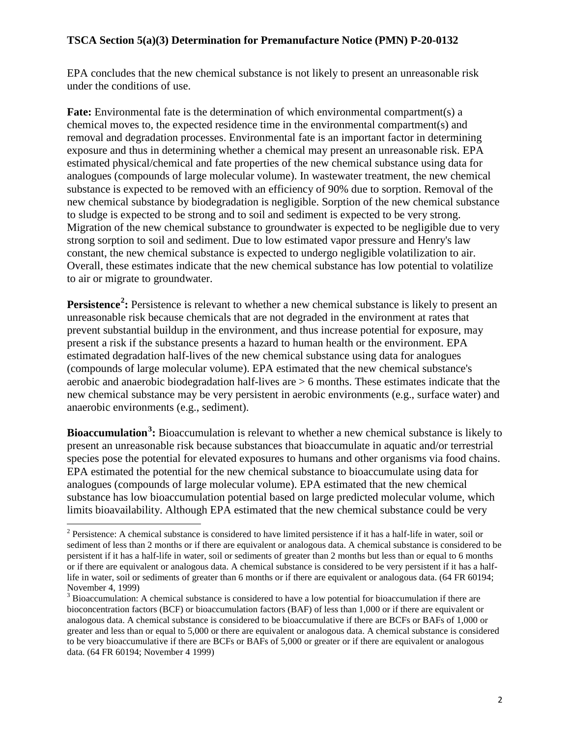EPA concludes that the new chemical substance is not likely to present an unreasonable risk under the conditions of use.

**Fate:** Environmental fate is the determination of which environmental compartment(s) a chemical moves to, the expected residence time in the environmental compartment(s) and removal and degradation processes. Environmental fate is an important factor in determining exposure and thus in determining whether a chemical may present an unreasonable risk. EPA estimated physical/chemical and fate properties of the new chemical substance using data for analogues (compounds of large molecular volume). In wastewater treatment, the new chemical substance is expected to be removed with an efficiency of 90% due to sorption. Removal of the new chemical substance by biodegradation is negligible. Sorption of the new chemical substance to sludge is expected to be strong and to soil and sediment is expected to be very strong. Migration of the new chemical substance to groundwater is expected to be negligible due to very strong sorption to soil and sediment. Due to low estimated vapor pressure and Henry's law constant, the new chemical substance is expected to undergo negligible volatilization to air. Overall, these estimates indicate that the new chemical substance has low potential to volatilize to air or migrate to groundwater.

**Persistence<sup>[2](#page-0-1)</sup>:** Persistence is relevant to whether a new chemical substance is likely to present an unreasonable risk because chemicals that are not degraded in the environment at rates that prevent substantial buildup in the environment, and thus increase potential for exposure, may present a risk if the substance presents a hazard to human health or the environment. EPA estimated degradation half-lives of the new chemical substance using data for analogues (compounds of large molecular volume). EPA estimated that the new chemical substance's aerobic and anaerobic biodegradation half-lives are > 6 months. These estimates indicate that the new chemical substance may be very persistent in aerobic environments (e.g., surface water) and anaerobic environments (e.g., sediment).

<span id="page-1-1"></span>**Bioaccumulation[3](#page-1-0) :** Bioaccumulation is relevant to whether a new chemical substance is likely to present an unreasonable risk because substances that bioaccumulate in aquatic and/or terrestrial species pose the potential for elevated exposures to humans and other organisms via food chains. EPA estimated the potential for the new chemical substance to bioaccumulate using data for analogues (compounds of large molecular volume). EPA estimated that the new chemical substance has low bioaccumulation potential based on large predicted molecular volume, which limits bioavailability. Although EPA estimated that the new chemical substance could be very

 $2$  Persistence: A chemical substance is considered to have limited persistence if it has a half-life in water, soil or sediment of less than 2 months or if there are equivalent or analogous data. A chemical substance is considered to be persistent if it has a half-life in water, soil or sediments of greater than 2 months but less than or equal to 6 months or if there are equivalent or analogous data. A chemical substance is considered to be very persistent if it has a halflife in water, soil or sediments of greater than 6 months or if there are equivalent or analogous data. (64 FR 60194; November 4, 1999)

<span id="page-1-0"></span><sup>&</sup>lt;sup>3</sup> Bioaccumulation: A chemical substance is considered to have a low potential for bioaccumulation if there are bioconcentration factors (BCF) or bioaccumulation factors (BAF) of less than 1,000 or if there are equivalent or analogous data. A chemical substance is considered to be bioaccumulative if there are BCFs or BAFs of 1,000 or greater and less than or equal to 5,000 or there are equivalent or analogous data. A chemical substance is considered to be very bioaccumulative if there are BCFs or BAFs of 5,000 or greater or if there are equivalent or analogous data. (64 FR 60194; November 4 1999)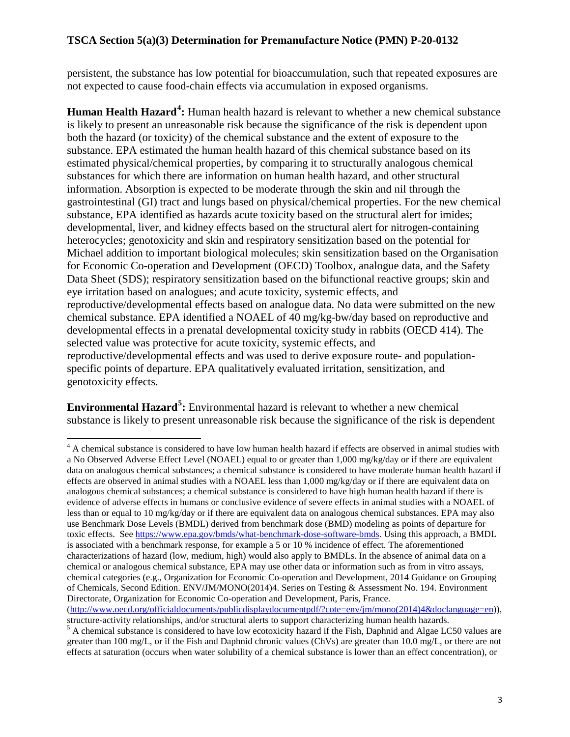persistent, the substance has low potential for bioaccumulation, such that repeated exposures are not expected to cause food-chain effects via accumulation in exposed organisms.

**Human Health Hazard[4](#page-1-1) :** Human health hazard is relevant to whether a new chemical substance is likely to present an unreasonable risk because the significance of the risk is dependent upon both the hazard (or toxicity) of the chemical substance and the extent of exposure to the substance. EPA estimated the human health hazard of this chemical substance based on its estimated physical/chemical properties, by comparing it to structurally analogous chemical substances for which there are information on human health hazard, and other structural information. Absorption is expected to be moderate through the skin and nil through the gastrointestinal (GI) tract and lungs based on physical/chemical properties. For the new chemical substance, EPA identified as hazards acute toxicity based on the structural alert for imides; developmental, liver, and kidney effects based on the structural alert for nitrogen-containing heterocycles; genotoxicity and skin and respiratory sensitization based on the potential for Michael addition to important biological molecules; skin sensitization based on the Organisation for Economic Co-operation and Development (OECD) Toolbox, analogue data, and the Safety Data Sheet (SDS); respiratory sensitization based on the bifunctional reactive groups; skin and eye irritation based on analogues; and acute toxicity, systemic effects, and reproductive/developmental effects based on analogue data. No data were submitted on the new chemical substance. EPA identified a NOAEL of 40 mg/kg-bw/day based on reproductive and developmental effects in a prenatal developmental toxicity study in rabbits (OECD 414). The selected value was protective for acute toxicity, systemic effects, and reproductive/developmental effects and was used to derive exposure route- and populationspecific points of departure. EPA qualitatively evaluated irritation, sensitization, and genotoxicity effects.

**Environmental Hazard[5](#page-2-0) :** Environmental hazard is relevant to whether a new chemical substance is likely to present unreasonable risk because the significance of the risk is dependent

<sup>&</sup>lt;sup>4</sup> A chemical substance is considered to have low human health hazard if effects are observed in animal studies with a No Observed Adverse Effect Level (NOAEL) equal to or greater than 1,000 mg/kg/day or if there are equivalent data on analogous chemical substances; a chemical substance is considered to have moderate human health hazard if effects are observed in animal studies with a NOAEL less than 1,000 mg/kg/day or if there are equivalent data on analogous chemical substances; a chemical substance is considered to have high human health hazard if there is evidence of adverse effects in humans or conclusive evidence of severe effects in animal studies with a NOAEL of less than or equal to 10 mg/kg/day or if there are equivalent data on analogous chemical substances. EPA may also use Benchmark Dose Levels (BMDL) derived from benchmark dose (BMD) modeling as points of departure for toxic effects. Se[e https://www.epa.gov/bmds/what-benchmark-dose-software-bmds.](https://www.epa.gov/bmds/what-benchmark-dose-software-bmds) Using this approach, a BMDL is associated with a benchmark response, for example a 5 or 10 % incidence of effect. The aforementioned characterizations of hazard (low, medium, high) would also apply to BMDLs. In the absence of animal data on a chemical or analogous chemical substance, EPA may use other data or information such as from in vitro assays, chemical categories (e.g., Organization for Economic Co-operation and Development, 2014 Guidance on Grouping of Chemicals, Second Edition. ENV/JM/MONO(2014)4. Series on Testing & Assessment No. 194. Environment Directorate, Organization for Economic Co-operation and Development, Paris, France.

[<sup>\(</sup>http://www.oecd.org/officialdocuments/publicdisplaydocumentpdf/?cote=env/jm/mono\(2014\)4&doclanguage=en\)](http://www.oecd.org/officialdocuments/publicdisplaydocumentpdf/?cote=env/jm/mono(2014)4&doclanguage=en)), structure-activity relationships, and/or structural alerts to support characterizing human health hazards.

<span id="page-2-1"></span><span id="page-2-0"></span> $5A$  chemical substance is considered to have low ecotoxicity hazard if the Fish, Daphnid and Algae LC50 values are greater than 100 mg/L, or if the Fish and Daphnid chronic values (ChVs) are greater than 10.0 mg/L, or there are not effects at saturation (occurs when water solubility of a chemical substance is lower than an effect concentration), or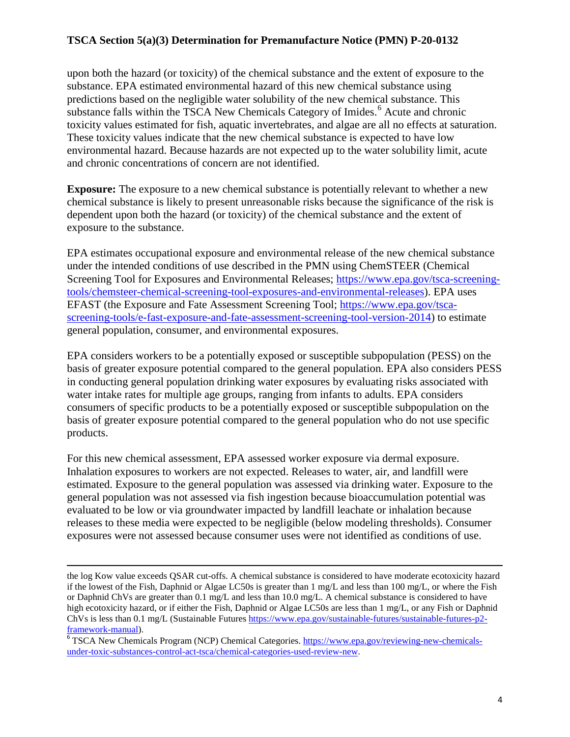upon both the hazard (or toxicity) of the chemical substance and the extent of exposure to the substance. EPA estimated environmental hazard of this new chemical substance using predictions based on the negligible water solubility of the new chemical substance. This substance falls within the TSCA New Chemicals Category of Imides.<sup>[6](#page-2-1)</sup> Acute and chronic toxicity values estimated for fish, aquatic invertebrates, and algae are all no effects at saturation. These toxicity values indicate that the new chemical substance is expected to have low environmental hazard. Because hazards are not expected up to the water solubility limit, acute and chronic concentrations of concern are not identified.

**Exposure:** The exposure to a new chemical substance is potentially relevant to whether a new chemical substance is likely to present unreasonable risks because the significance of the risk is dependent upon both the hazard (or toxicity) of the chemical substance and the extent of exposure to the substance.

EPA estimates occupational exposure and environmental release of the new chemical substance under the intended conditions of use described in the PMN using ChemSTEER (Chemical Screening Tool for Exposures and Environmental Releases; [https://www.epa.gov/tsca-screening](https://www.epa.gov/tsca-screening-tools/chemsteer-chemical-screening-tool-exposures-and-environmental-releases)[tools/chemsteer-chemical-screening-tool-exposures-and-environmental-releases\)](https://www.epa.gov/tsca-screening-tools/chemsteer-chemical-screening-tool-exposures-and-environmental-releases). EPA uses EFAST (the Exposure and Fate Assessment Screening Tool; [https://www.epa.gov/tsca](https://www.epa.gov/tsca-screening-tools/e-fast-exposure-and-fate-assessment-screening-tool-version-2014)[screening-tools/e-fast-exposure-and-fate-assessment-screening-tool-version-2014\)](https://www.epa.gov/tsca-screening-tools/e-fast-exposure-and-fate-assessment-screening-tool-version-2014) to estimate general population, consumer, and environmental exposures.

EPA considers workers to be a potentially exposed or susceptible subpopulation (PESS) on the basis of greater exposure potential compared to the general population. EPA also considers PESS in conducting general population drinking water exposures by evaluating risks associated with water intake rates for multiple age groups, ranging from infants to adults. EPA considers consumers of specific products to be a potentially exposed or susceptible subpopulation on the basis of greater exposure potential compared to the general population who do not use specific products.

For this new chemical assessment, EPA assessed worker exposure via dermal exposure. Inhalation exposures to workers are not expected. Releases to water, air, and landfill were estimated. Exposure to the general population was assessed via drinking water. Exposure to the general population was not assessed via fish ingestion because bioaccumulation potential was evaluated to be low or via groundwater impacted by landfill leachate or inhalation because releases to these media were expected to be negligible (below modeling thresholds). Consumer exposures were not assessed because consumer uses were not identified as conditions of use.

 $\overline{\phantom{a}}$ 

the log Kow value exceeds QSAR cut-offs. A chemical substance is considered to have moderate ecotoxicity hazard if the lowest of the Fish, Daphnid or Algae LC50s is greater than 1 mg/L and less than 100 mg/L, or where the Fish or Daphnid ChVs are greater than 0.1 mg/L and less than 10.0 mg/L. A chemical substance is considered to have high ecotoxicity hazard, or if either the Fish, Daphnid or Algae LC50s are less than 1 mg/L, or any Fish or Daphnid ChVs is less than 0.1 mg/L (Sustainable Futures [https://www.epa.gov/sustainable-futures/sustainable-futures-p2-](https://www.epa.gov/sustainable-futures/sustainable-futures-p2-framework-manual)<br>framework-manual).

<sup>&</sup>lt;sup>6</sup> TSCA New Chemicals Program (NCP) Chemical Categories. [https://www.epa.gov/reviewing-new-chemicals](https://www.epa.gov/reviewing-new-chemicals-under-toxic-substances-control-act-tsca/chemical-categories-used-review-new)[under-toxic-substances-control-act-tsca/chemical-categories-used-review-new](https://www.epa.gov/reviewing-new-chemicals-under-toxic-substances-control-act-tsca/chemical-categories-used-review-new).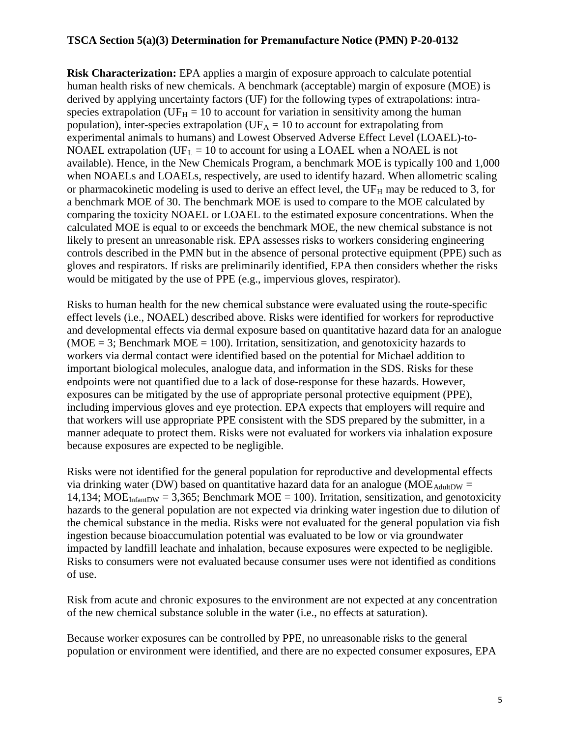**Risk Characterization:** EPA applies a margin of exposure approach to calculate potential human health risks of new chemicals. A benchmark (acceptable) margin of exposure (MOE) is derived by applying uncertainty factors (UF) for the following types of extrapolations: intraspecies extrapolation (UF $_H = 10$  to account for variation in sensitivity among the human population), inter-species extrapolation ( $UF_A = 10$  to account for extrapolating from experimental animals to humans) and Lowest Observed Adverse Effect Level (LOAEL)-to-NOAEL extrapolation (UF<sub>L</sub> = 10 to account for using a LOAEL when a NOAEL is not available). Hence, in the New Chemicals Program, a benchmark MOE is typically 100 and 1,000 when NOAELs and LOAELs, respectively, are used to identify hazard. When allometric scaling or pharmacokinetic modeling is used to derive an effect level, the  $UF_H$  may be reduced to 3, for a benchmark MOE of 30. The benchmark MOE is used to compare to the MOE calculated by comparing the toxicity NOAEL or LOAEL to the estimated exposure concentrations. When the calculated MOE is equal to or exceeds the benchmark MOE, the new chemical substance is not likely to present an unreasonable risk. EPA assesses risks to workers considering engineering controls described in the PMN but in the absence of personal protective equipment (PPE) such as gloves and respirators. If risks are preliminarily identified, EPA then considers whether the risks would be mitigated by the use of PPE (e.g., impervious gloves, respirator).

Risks to human health for the new chemical substance were evaluated using the route-specific effect levels (i.e., NOAEL) described above. Risks were identified for workers for reproductive and developmental effects via dermal exposure based on quantitative hazard data for an analogue  $(MOE = 3$ ; Benchmark  $MOE = 100$ ). Irritation, sensitization, and genotoxicity hazards to workers via dermal contact were identified based on the potential for Michael addition to important biological molecules, analogue data, and information in the SDS. Risks for these endpoints were not quantified due to a lack of dose-response for these hazards. However, exposures can be mitigated by the use of appropriate personal protective equipment (PPE), including impervious gloves and eye protection. EPA expects that employers will require and that workers will use appropriate PPE consistent with the SDS prepared by the submitter, in a manner adequate to protect them. Risks were not evaluated for workers via inhalation exposure because exposures are expected to be negligible.

Risks were not identified for the general population for reproductive and developmental effects via drinking water (DW) based on quantitative hazard data for an analogue ( $MOE<sub>AdultDW</sub>$  = 14,134; MOE<sub>InfantDW</sub> = 3,365; Benchmark MOE = 100). Irritation, sensitization, and genotoxicity hazards to the general population are not expected via drinking water ingestion due to dilution of the chemical substance in the media. Risks were not evaluated for the general population via fish ingestion because bioaccumulation potential was evaluated to be low or via groundwater impacted by landfill leachate and inhalation, because exposures were expected to be negligible. Risks to consumers were not evaluated because consumer uses were not identified as conditions of use.

Risk from acute and chronic exposures to the environment are not expected at any concentration of the new chemical substance soluble in the water (i.e., no effects at saturation).

Because worker exposures can be controlled by PPE, no unreasonable risks to the general population or environment were identified, and there are no expected consumer exposures, EPA